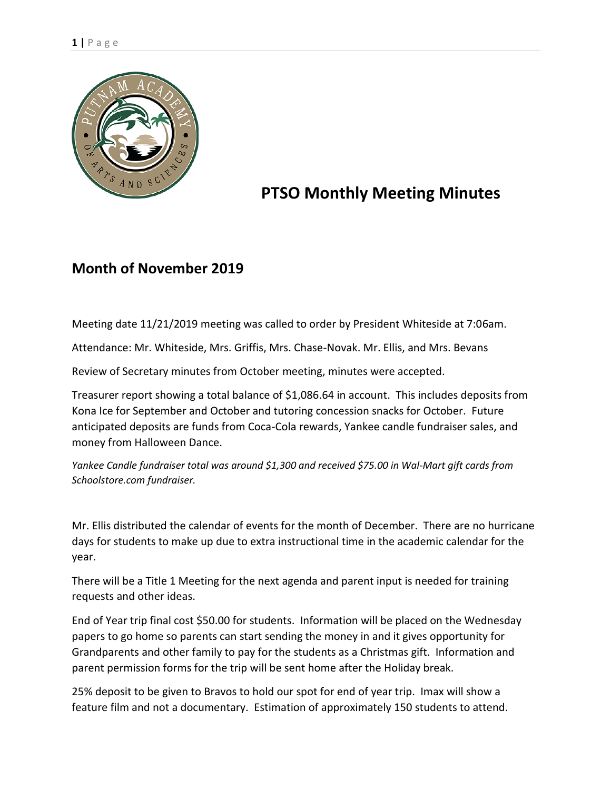

## **PTSO Monthly Meeting Minutes**

## **Month of November 2019**

Meeting date 11/21/2019 meeting was called to order by President Whiteside at 7:06am.

Attendance: Mr. Whiteside, Mrs. Griffis, Mrs. Chase-Novak. Mr. Ellis, and Mrs. Bevans

Review of Secretary minutes from October meeting, minutes were accepted.

Treasurer report showing a total balance of \$1,086.64 in account. This includes deposits from Kona Ice for September and October and tutoring concession snacks for October. Future anticipated deposits are funds from Coca-Cola rewards, Yankee candle fundraiser sales, and money from Halloween Dance.

*Yankee Candle fundraiser total was around \$1,300 and received \$75.00 in Wal-Mart gift cards from Schoolstore.com fundraiser.* 

Mr. Ellis distributed the calendar of events for the month of December. There are no hurricane days for students to make up due to extra instructional time in the academic calendar for the year.

There will be a Title 1 Meeting for the next agenda and parent input is needed for training requests and other ideas.

End of Year trip final cost \$50.00 for students. Information will be placed on the Wednesday papers to go home so parents can start sending the money in and it gives opportunity for Grandparents and other family to pay for the students as a Christmas gift. Information and parent permission forms for the trip will be sent home after the Holiday break.

25% deposit to be given to Bravos to hold our spot for end of year trip. Imax will show a feature film and not a documentary. Estimation of approximately 150 students to attend.